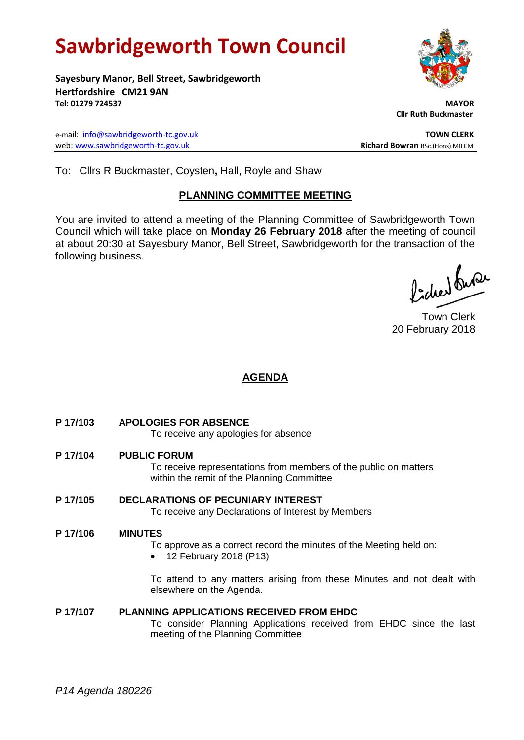# **Sawbridgeworth Town Council**

**Sayesbury Manor, Bell Street, Sawbridgeworth Hertfordshire CM21 9AN Tel: 01279 724537 MAYOR**

e-mail: [info@sawbridgeworth-tc.gov.uk](mailto:info@sawbridgeworth-tc.gov.uk) **TOWN CLERK** web: www.sawbridgeworth-tc.gov.uk **Richard Bowran** BSc.(Hons) MILCM

 **Cllr Ruth Buckmaster** 

To: Cllrs R Buckmaster, Coysten**,** Hall, Royle and Shaw

# **PLANNING COMMITTEE MEETING**

You are invited to attend a meeting of the Planning Committee of Sawbridgeworth Town Council which will take place on **Monday 26 February 2018** after the meeting of council at about 20:30 at Sayesbury Manor, Bell Street, Sawbridgeworth for the transaction of the following business.

Picked fuse

Town Clerk 20 February 2018

# **AGENDA**

**P 17/103 APOLOGIES FOR ABSENCE**

To receive any apologies for absence

**P 17/104 PUBLIC FORUM**

To receive representations from members of the public on matters within the remit of the Planning Committee

**P 17/105 DECLARATIONS OF PECUNIARY INTEREST** To receive any Declarations of Interest by Members

#### **P 17/106 MINUTES**

- To approve as a correct record the minutes of the Meeting held on:
- 12 February 2018 (P13)

To attend to any matters arising from these Minutes and not dealt with elsewhere on the Agenda.

## **P 17/107 PLANNING APPLICATIONS RECEIVED FROM EHDC**

To consider Planning Applications received from EHDC since the last meeting of the Planning Committee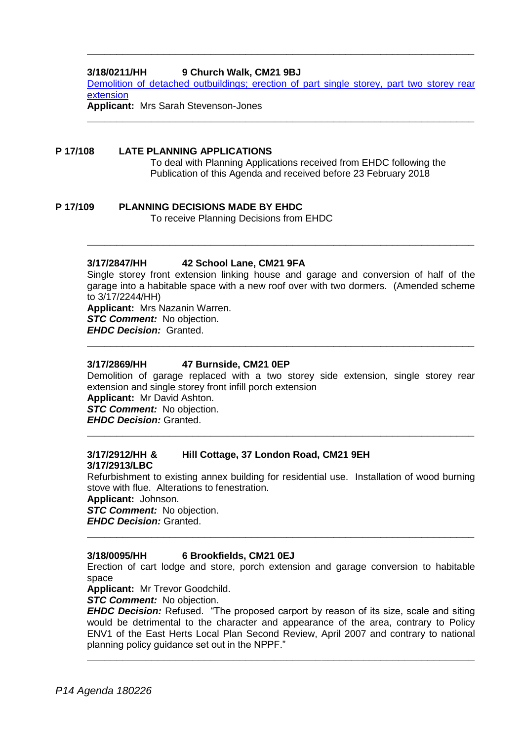### **3/18/0211/HH 9 Church Walk, CM21 9BJ**

Demolition [of detached outbuildings; erection of part single storey, part two storey rear](https://publicaccess.eastherts.gov.uk/online-applications/applicationDetails.do?activeTab=documents&keyVal=P3EUAIGLKBI00)  [extension](https://publicaccess.eastherts.gov.uk/online-applications/applicationDetails.do?activeTab=documents&keyVal=P3EUAIGLKBI00)

**\_\_\_\_\_\_\_\_\_\_\_\_\_\_\_\_\_\_\_\_\_\_\_\_\_\_\_\_\_\_\_\_\_\_\_\_\_\_\_\_\_\_\_\_\_\_\_\_\_\_\_\_\_\_\_\_\_\_\_\_\_\_\_\_\_\_**

**\_\_\_\_\_\_\_\_\_\_\_\_\_\_\_\_\_\_\_\_\_\_\_\_\_\_\_\_\_\_\_\_\_\_\_\_\_\_\_\_\_\_\_\_\_\_\_\_\_\_\_\_\_\_\_\_\_\_\_\_\_\_\_\_\_\_**

**Applicant:** Mrs Sarah Stevenson-Jones

#### **P 17/108 LATE PLANNING APPLICATIONS**

To deal with Planning Applications received from EHDC following the Publication of this Agenda and received before 23 February 2018

**P 17/109 PLANNING DECISIONS MADE BY EHDC**

To receive Planning Decisions from EHDC

#### **3/17/2847/HH 42 School Lane, CM21 9FA**

Single storey front extension linking house and garage and conversion of half of the garage into a habitable space with a new roof over with two dormers. (Amended scheme to 3/17/2244/HH)

**\_\_\_\_\_\_\_\_\_\_\_\_\_\_\_\_\_\_\_\_\_\_\_\_\_\_\_\_\_\_\_\_\_\_\_\_\_\_\_\_\_\_\_\_\_\_\_\_\_\_\_\_\_\_\_\_\_\_\_\_\_\_\_\_\_\_**

**Applicant:** Mrs Nazanin Warren.

*STC Comment:* No objection.

*EHDC Decision:* Granted. **\_\_\_\_\_\_\_\_\_\_\_\_\_\_\_\_\_\_\_\_\_\_\_\_\_\_\_\_\_\_\_\_\_\_\_\_\_\_\_\_\_\_\_\_\_\_\_\_\_\_\_\_\_\_\_\_\_\_\_\_\_\_\_\_\_\_**

#### **3/17/2869/HH 47 Burnside, CM21 0EP**

Demolition of garage replaced with a two storey side extension, single storey rear extension and single storey front infill porch extension **Applicant:** Mr David Ashton.

**\_\_\_\_\_\_\_\_\_\_\_\_\_\_\_\_\_\_\_\_\_\_\_\_\_\_\_\_\_\_\_\_\_\_\_\_\_\_\_\_\_\_\_\_\_\_\_\_\_\_\_\_\_\_\_\_\_\_\_\_\_\_\_\_\_\_**

*STC Comment:* No objection.

*EHDC Decision:* Granted.

#### **3/17/2912/HH & Hill Cottage, 37 London Road, CM21 9EH 3/17/2913/LBC**

Refurbishment to existing annex building for residential use. Installation of wood burning stove with flue. Alterations to fenestration.

**Applicant:** Johnson.

*STC Comment:* No objection.

*EHDC Decision:* Granted.

#### **3/18/0095/HH 6 Brookfields, CM21 0EJ**

Erection of cart lodge and store, porch extension and garage conversion to habitable space

**\_\_\_\_\_\_\_\_\_\_\_\_\_\_\_\_\_\_\_\_\_\_\_\_\_\_\_\_\_\_\_\_\_\_\_\_\_\_\_\_\_\_\_\_\_\_\_\_\_\_\_\_\_\_\_\_\_\_\_\_\_\_\_\_\_\_**

**Applicant:** Mr Trevor Goodchild.

*STC Comment:* No objection.

*EHDC Decision:* Refused. "The proposed carport by reason of its size, scale and siting would be detrimental to the character and appearance of the area, contrary to Policy ENV1 of the East Herts Local Plan Second Review, April 2007 and contrary to national planning policy guidance set out in the NPPF."

**\_\_\_\_\_\_\_\_\_\_\_\_\_\_\_\_\_\_\_\_\_\_\_\_\_\_\_\_\_\_\_\_\_\_\_\_\_\_\_\_\_\_\_\_\_\_\_\_\_\_\_\_\_\_\_\_\_\_\_\_\_\_\_\_\_\_**